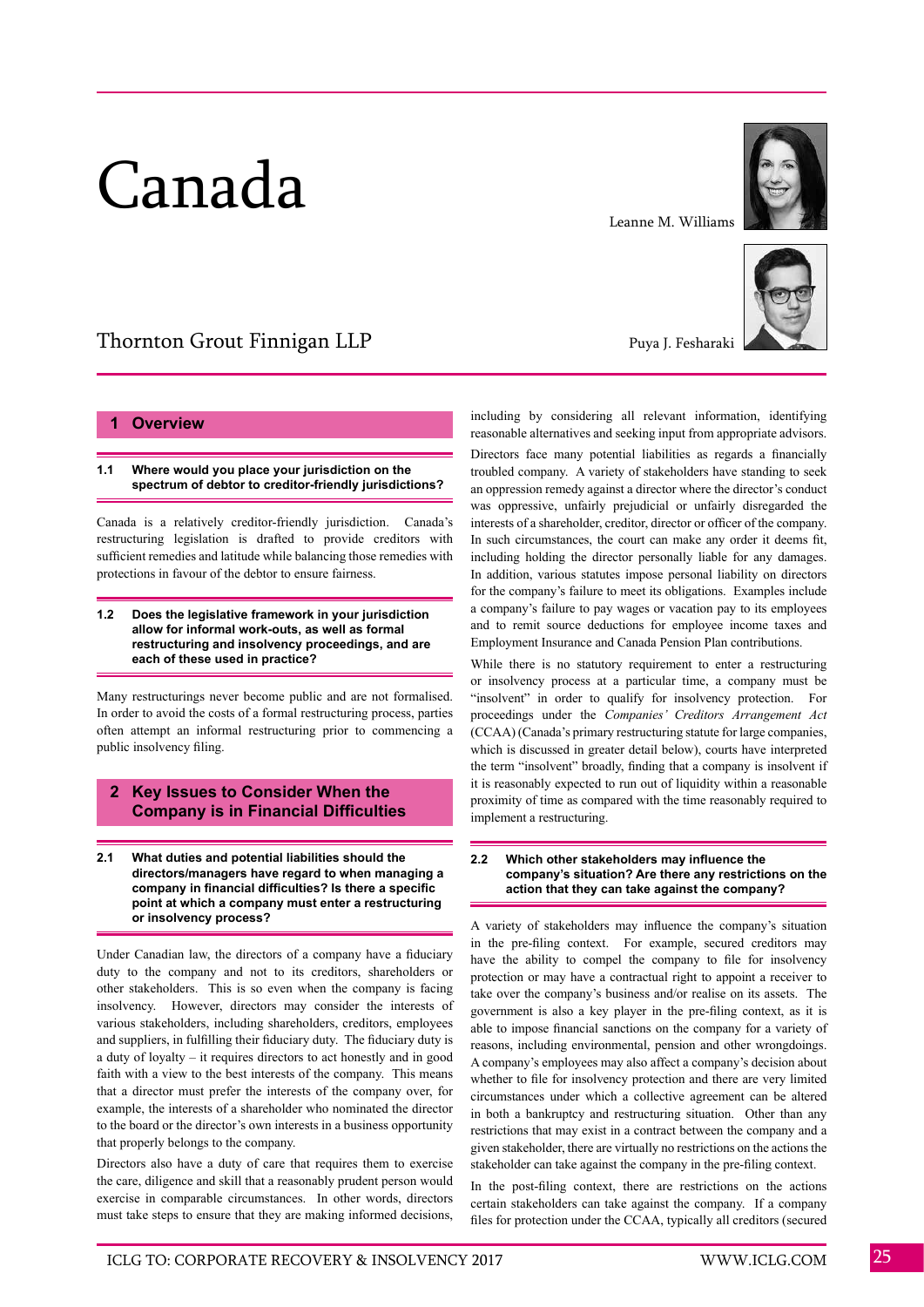# Canada

#### Leanne M. Williams



Thornton Grout Finnigan LLP

# **1 Overview**

# **1.1 Where would you place your jurisdiction on the spectrum of debtor to creditor-friendly jurisdictions?**

Canada is a relatively creditor-friendly jurisdiction. Canada's restructuring legislation is drafted to provide creditors with sufficient remedies and latitude while balancing those remedies with protections in favour of the debtor to ensure fairness.

#### **1.2 Does the legislative framework in your jurisdiction allow for informal work-outs, as well as formal restructuring and insolvency proceedings, and are each of these used in practice?**

Many restructurings never become public and are not formalised. In order to avoid the costs of a formal restructuring process, parties often attempt an informal restructuring prior to commencing a public insolvency filing.

# **2 Key Issues to Consider When the Company is in Financial Difficulties**

**2.1 What duties and potential liabilities should the directors/managers have regard to when managing a company in financial difficulties? Is there a specific point at which a company must enter a restructuring or insolvency process?**

Under Canadian law, the directors of a company have a fiduciary duty to the company and not to its creditors, shareholders or other stakeholders. This is so even when the company is facing insolvency. However, directors may consider the interests of various stakeholders, including shareholders, creditors, employees and suppliers, in fulfilling their fiduciary duty. The fiduciary duty is a duty of loyalty – it requires directors to act honestly and in good faith with a view to the best interests of the company. This means that a director must prefer the interests of the company over, for example, the interests of a shareholder who nominated the director to the board or the director's own interests in a business opportunity that properly belongs to the company.

Directors also have a duty of care that requires them to exercise the care, diligence and skill that a reasonably prudent person would exercise in comparable circumstances. In other words, directors must take steps to ensure that they are making informed decisions,

Puya J. Fesharaki

including by considering all relevant information, identifying reasonable alternatives and seeking input from appropriate advisors.

Directors face many potential liabilities as regards a financially troubled company. A variety of stakeholders have standing to seek an oppression remedy against a director where the director's conduct was oppressive, unfairly prejudicial or unfairly disregarded the interests of a shareholder, creditor, director or officer of the company. In such circumstances, the court can make any order it deems fit, including holding the director personally liable for any damages. In addition, various statutes impose personal liability on directors for the company's failure to meet its obligations. Examples include a company's failure to pay wages or vacation pay to its employees and to remit source deductions for employee income taxes and Employment Insurance and Canada Pension Plan contributions.

While there is no statutory requirement to enter a restructuring or insolvency process at a particular time, a company must be "insolvent" in order to qualify for insolvency protection. For proceedings under the *Companies' Creditors Arrangement Act* (CCAA) (Canada's primary restructuring statute for large companies, which is discussed in greater detail below), courts have interpreted the term "insolvent" broadly, finding that a company is insolvent if it is reasonably expected to run out of liquidity within a reasonable proximity of time as compared with the time reasonably required to implement a restructuring.

## **2.2 Which other stakeholders may influence the company's situation? Are there any restrictions on the action that they can take against the company?**

A variety of stakeholders may influence the company's situation in the pre-filing context. For example, secured creditors may have the ability to compel the company to file for insolvency protection or may have a contractual right to appoint a receiver to take over the company's business and/or realise on its assets. The government is also a key player in the pre-filing context, as it is able to impose financial sanctions on the company for a variety of reasons, including environmental, pension and other wrongdoings. A company's employees may also affect a company's decision about whether to file for insolvency protection and there are very limited circumstances under which a collective agreement can be altered in both a bankruptcy and restructuring situation. Other than any restrictions that may exist in a contract between the company and a given stakeholder, there are virtually no restrictions on the actions the stakeholder can take against the company in the pre-filing context.

In the post-filing context, there are restrictions on the actions certain stakeholders can take against the company. If a company files for protection under the CCAA, typically all creditors (secured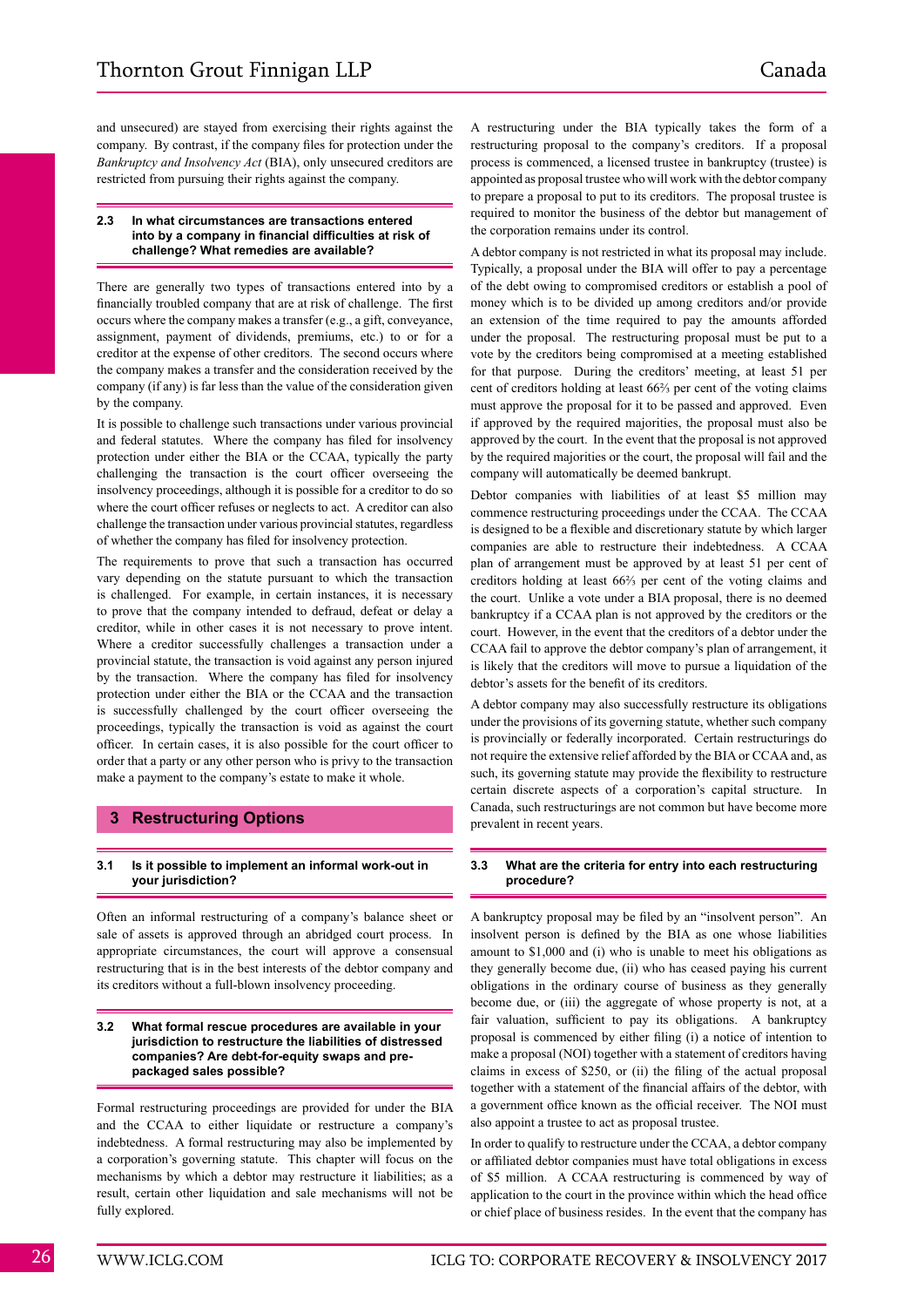and unsecured) are stayed from exercising their rights against the company. By contrast, if the company files for protection under the *Bankruptcy and Insolvency Act* (BIA), only unsecured creditors are restricted from pursuing their rights against the company.

# **2.3 In what circumstances are transactions entered into by a company in financial difficulties at risk of challenge? What remedies are available?**

There are generally two types of transactions entered into by a financially troubled company that are at risk of challenge. The first occurs where the company makes a transfer (e.g., a gift, conveyance, assignment, payment of dividends, premiums, etc.) to or for a creditor at the expense of other creditors. The second occurs where the company makes a transfer and the consideration received by the company (if any) is far less than the value of the consideration given by the company.

It is possible to challenge such transactions under various provincial and federal statutes. Where the company has filed for insolvency protection under either the BIA or the CCAA, typically the party challenging the transaction is the court officer overseeing the insolvency proceedings, although it is possible for a creditor to do so where the court officer refuses or neglects to act. A creditor can also challenge the transaction under various provincial statutes, regardless of whether the company has filed for insolvency protection.

The requirements to prove that such a transaction has occurred vary depending on the statute pursuant to which the transaction is challenged. For example, in certain instances, it is necessary to prove that the company intended to defraud, defeat or delay a creditor, while in other cases it is not necessary to prove intent. Where a creditor successfully challenges a transaction under a provincial statute, the transaction is void against any person injured by the transaction. Where the company has filed for insolvency protection under either the BIA or the CCAA and the transaction is successfully challenged by the court officer overseeing the proceedings, typically the transaction is void as against the court officer. In certain cases, it is also possible for the court officer to order that a party or any other person who is privy to the transaction make a payment to the company's estate to make it whole.

# **3 Restructuring Options**

# **3.1 Is it possible to implement an informal work-out in your jurisdiction?**

Often an informal restructuring of a company's balance sheet or sale of assets is approved through an abridged court process. In appropriate circumstances, the court will approve a consensual restructuring that is in the best interests of the debtor company and its creditors without a full-blown insolvency proceeding.

#### **3.2 What formal rescue procedures are available in your jurisdiction to restructure the liabilities of distressed companies? Are debt-for-equity swaps and prepackaged sales possible?**

Formal restructuring proceedings are provided for under the BIA and the CCAA to either liquidate or restructure a company's indebtedness. A formal restructuring may also be implemented by a corporation's governing statute. This chapter will focus on the mechanisms by which a debtor may restructure it liabilities; as a result, certain other liquidation and sale mechanisms will not be fully explored.

A restructuring under the BIA typically takes the form of a restructuring proposal to the company's creditors. If a proposal process is commenced, a licensed trustee in bankruptcy (trustee) is appointed as proposal trustee who will work with the debtor company to prepare a proposal to put to its creditors. The proposal trustee is required to monitor the business of the debtor but management of the corporation remains under its control.

A debtor company is not restricted in what its proposal may include. Typically, a proposal under the BIA will offer to pay a percentage of the debt owing to compromised creditors or establish a pool of money which is to be divided up among creditors and/or provide an extension of the time required to pay the amounts afforded under the proposal. The restructuring proposal must be put to a vote by the creditors being compromised at a meeting established for that purpose. During the creditors' meeting, at least 51 per cent of creditors holding at least 66⅔ per cent of the voting claims must approve the proposal for it to be passed and approved. Even if approved by the required majorities, the proposal must also be approved by the court. In the event that the proposal is not approved by the required majorities or the court, the proposal will fail and the company will automatically be deemed bankrupt.

Debtor companies with liabilities of at least \$5 million may commence restructuring proceedings under the CCAA. The CCAA is designed to be a flexible and discretionary statute by which larger companies are able to restructure their indebtedness. A CCAA plan of arrangement must be approved by at least 51 per cent of creditors holding at least 66⅔ per cent of the voting claims and the court. Unlike a vote under a BIA proposal, there is no deemed bankruptcy if a CCAA plan is not approved by the creditors or the court. However, in the event that the creditors of a debtor under the CCAA fail to approve the debtor company's plan of arrangement, it is likely that the creditors will move to pursue a liquidation of the debtor's assets for the benefit of its creditors.

A debtor company may also successfully restructure its obligations under the provisions of its governing statute, whether such company is provincially or federally incorporated. Certain restructurings do not require the extensive relief afforded by the BIA or CCAA and, as such, its governing statute may provide the flexibility to restructure certain discrete aspects of a corporation's capital structure. In Canada, such restructurings are not common but have become more prevalent in recent years.

# **3.3 What are the criteria for entry into each restructuring procedure?**

A bankruptcy proposal may be filed by an "insolvent person". An insolvent person is defined by the BIA as one whose liabilities amount to \$1,000 and (i) who is unable to meet his obligations as they generally become due, (ii) who has ceased paying his current obligations in the ordinary course of business as they generally become due, or (iii) the aggregate of whose property is not, at a fair valuation, sufficient to pay its obligations. A bankruptcy proposal is commenced by either filing (i) a notice of intention to make a proposal (NOI) together with a statement of creditors having claims in excess of \$250, or (ii) the filing of the actual proposal together with a statement of the financial affairs of the debtor, with a government office known as the official receiver. The NOI must also appoint a trustee to act as proposal trustee.

In order to qualify to restructure under the CCAA, a debtor company or affiliated debtor companies must have total obligations in excess of \$5 million. A CCAA restructuring is commenced by way of application to the court in the province within which the head office or chief place of business resides. In the event that the company has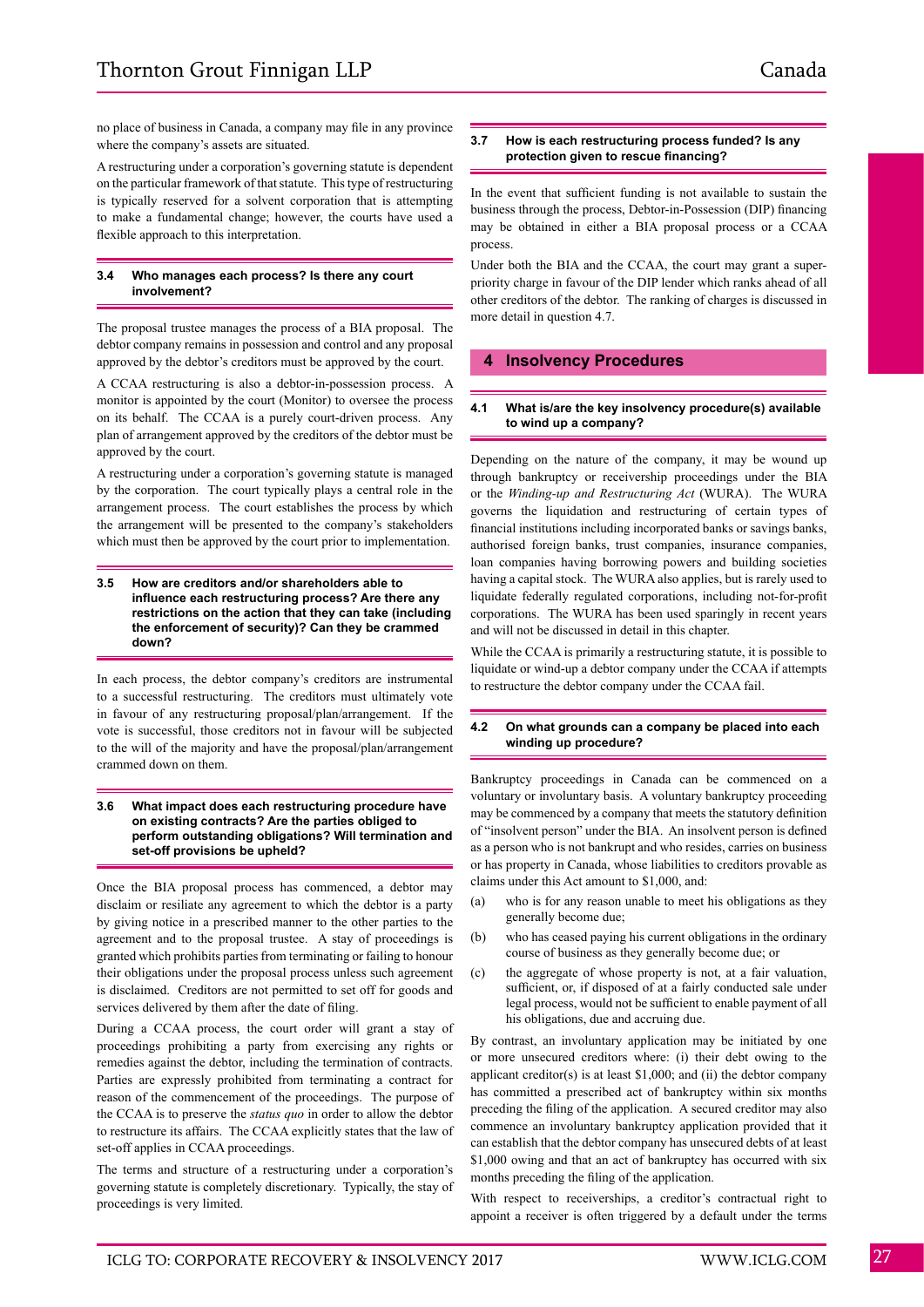no place of business in Canada, a company may file in any province where the company's assets are situated.

A restructuring under a corporation's governing statute is dependent on the particular framework of that statute. This type of restructuring is typically reserved for a solvent corporation that is attempting to make a fundamental change; however, the courts have used a flexible approach to this interpretation.

# **3.4 Who manages each process? Is there any court involvement?**

The proposal trustee manages the process of a BIA proposal. The debtor company remains in possession and control and any proposal approved by the debtor's creditors must be approved by the court.

A CCAA restructuring is also a debtor-in-possession process. A monitor is appointed by the court (Monitor) to oversee the process on its behalf. The CCAA is a purely court-driven process. Any plan of arrangement approved by the creditors of the debtor must be approved by the court.

A restructuring under a corporation's governing statute is managed by the corporation. The court typically plays a central role in the arrangement process. The court establishes the process by which the arrangement will be presented to the company's stakeholders which must then be approved by the court prior to implementation.

#### **3.5 How are creditors and/or shareholders able to influence each restructuring process? Are there any restrictions on the action that they can take (including the enforcement of security)? Can they be crammed down?**

In each process, the debtor company's creditors are instrumental to a successful restructuring. The creditors must ultimately vote in favour of any restructuring proposal/plan/arrangement. If the vote is successful, those creditors not in favour will be subjected to the will of the majority and have the proposal/plan/arrangement crammed down on them.

## **3.6 What impact does each restructuring procedure have on existing contracts? Are the parties obliged to perform outstanding obligations? Will termination and set-off provisions be upheld?**

Once the BIA proposal process has commenced, a debtor may disclaim or resiliate any agreement to which the debtor is a party by giving notice in a prescribed manner to the other parties to the agreement and to the proposal trustee. A stay of proceedings is granted which prohibits parties from terminating or failing to honour their obligations under the proposal process unless such agreement is disclaimed. Creditors are not permitted to set off for goods and services delivered by them after the date of filing.

During a CCAA process, the court order will grant a stay of proceedings prohibiting a party from exercising any rights or remedies against the debtor, including the termination of contracts. Parties are expressly prohibited from terminating a contract for reason of the commencement of the proceedings. The purpose of the CCAA is to preserve the *status quo* in order to allow the debtor to restructure its affairs. The CCAA explicitly states that the law of set-off applies in CCAA proceedings.

The terms and structure of a restructuring under a corporation's governing statute is completely discretionary. Typically, the stay of proceedings is very limited.

# **3.7 How is each restructuring process funded? Is any protection given to rescue financing?**

In the event that sufficient funding is not available to sustain the business through the process, Debtor-in-Possession (DIP) financing may be obtained in either a BIA proposal process or a CCAA process.

Under both the BIA and the CCAA, the court may grant a superpriority charge in favour of the DIP lender which ranks ahead of all other creditors of the debtor. The ranking of charges is discussed in more detail in question 4.7.

# **4 Insolvency Procedures**

## **4.1 What is/are the key insolvency procedure(s) available to wind up a company?**

Depending on the nature of the company, it may be wound up through bankruptcy or receivership proceedings under the BIA or the *Winding-up and Restructuring Act* (WURA). The WURA governs the liquidation and restructuring of certain types of financial institutions including incorporated banks or savings banks, authorised foreign banks, trust companies, insurance companies, loan companies having borrowing powers and building societies having a capital stock. The WURA also applies, but is rarely used to liquidate federally regulated corporations, including not-for-profit corporations. The WURA has been used sparingly in recent years and will not be discussed in detail in this chapter.

While the CCAA is primarily a restructuring statute, it is possible to liquidate or wind-up a debtor company under the CCAA if attempts to restructure the debtor company under the CCAA fail.

#### **4.2 On what grounds can a company be placed into each winding up procedure?**

Bankruptcy proceedings in Canada can be commenced on a voluntary or involuntary basis. A voluntary bankruptcy proceeding may be commenced by a company that meets the statutory definition of "insolvent person" under the BIA. An insolvent person is defined as a person who is not bankrupt and who resides, carries on business or has property in Canada, whose liabilities to creditors provable as claims under this Act amount to \$1,000, and:

- (a) who is for any reason unable to meet his obligations as they generally become due;
- (b) who has ceased paying his current obligations in the ordinary course of business as they generally become due; or
- (c) the aggregate of whose property is not, at a fair valuation, sufficient, or, if disposed of at a fairly conducted sale under legal process, would not be sufficient to enable payment of all his obligations, due and accruing due.

By contrast, an involuntary application may be initiated by one or more unsecured creditors where: (i) their debt owing to the applicant creditor(s) is at least \$1,000; and (ii) the debtor company has committed a prescribed act of bankruptcy within six months preceding the filing of the application. A secured creditor may also commence an involuntary bankruptcy application provided that it can establish that the debtor company has unsecured debts of at least \$1,000 owing and that an act of bankruptcy has occurred with six months preceding the filing of the application.

With respect to receiverships, a creditor's contractual right to appoint a receiver is often triggered by a default under the terms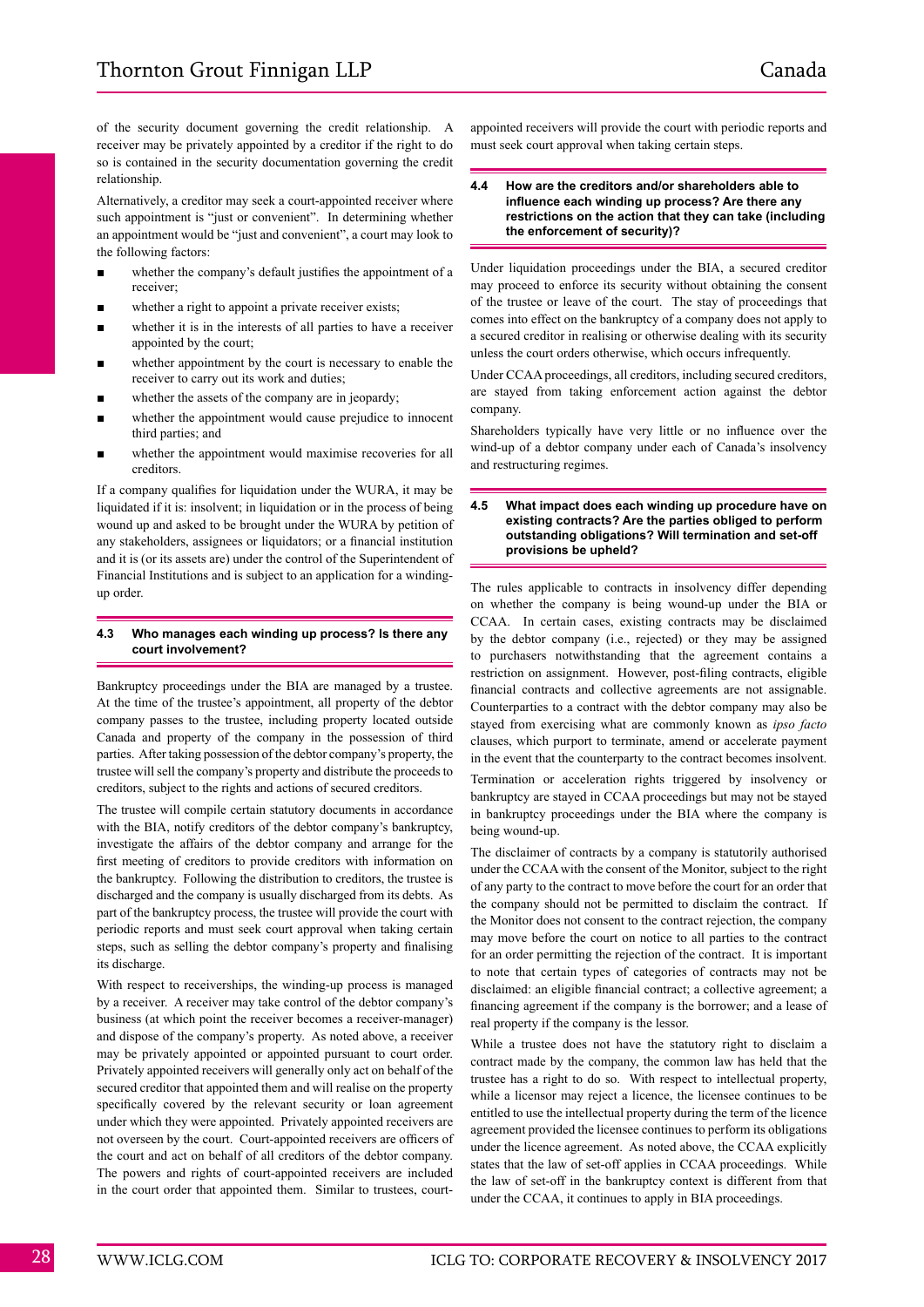of the security document governing the credit relationship. A receiver may be privately appointed by a creditor if the right to do so is contained in the security documentation governing the credit relationship.

Alternatively, a creditor may seek a court-appointed receiver where such appointment is "just or convenient". In determining whether an appointment would be "just and convenient", a court may look to the following factors:

- whether the company's default justifies the appointment of a receiver;
- whether a right to appoint a private receiver exists;
- whether it is in the interests of all parties to have a receiver appointed by the court;
- whether appointment by the court is necessary to enable the receiver to carry out its work and duties;
- whether the assets of the company are in jeopardy;
- whether the appointment would cause prejudice to innocent third parties; and
- whether the appointment would maximise recoveries for all creditors.

If a company qualifies for liquidation under the WURA, it may be liquidated if it is: insolvent; in liquidation or in the process of being wound up and asked to be brought under the WURA by petition of any stakeholders, assignees or liquidators; or a financial institution and it is (or its assets are) under the control of the Superintendent of Financial Institutions and is subject to an application for a windingup order.

# **4.3 Who manages each winding up process? Is there any court involvement?**

Bankruptcy proceedings under the BIA are managed by a trustee. At the time of the trustee's appointment, all property of the debtor company passes to the trustee, including property located outside Canada and property of the company in the possession of third parties. After taking possession of the debtor company's property, the trustee will sell the company's property and distribute the proceeds to creditors, subject to the rights and actions of secured creditors.

The trustee will compile certain statutory documents in accordance with the BIA, notify creditors of the debtor company's bankruptcy, investigate the affairs of the debtor company and arrange for the first meeting of creditors to provide creditors with information on the bankruptcy. Following the distribution to creditors, the trustee is discharged and the company is usually discharged from its debts. As part of the bankruptcy process, the trustee will provide the court with periodic reports and must seek court approval when taking certain steps, such as selling the debtor company's property and finalising its discharge.

With respect to receiverships, the winding-up process is managed by a receiver. A receiver may take control of the debtor company's business (at which point the receiver becomes a receiver-manager) and dispose of the company's property. As noted above, a receiver may be privately appointed or appointed pursuant to court order. Privately appointed receivers will generally only act on behalf of the secured creditor that appointed them and will realise on the property specifically covered by the relevant security or loan agreement under which they were appointed. Privately appointed receivers are not overseen by the court. Court-appointed receivers are officers of the court and act on behalf of all creditors of the debtor company. The powers and rights of court-appointed receivers are included in the court order that appointed them. Similar to trustees, court-

appointed receivers will provide the court with periodic reports and must seek court approval when taking certain steps.

#### **4.4 How are the creditors and/or shareholders able to influence each winding up process? Are there any restrictions on the action that they can take (including the enforcement of security)?**

Under liquidation proceedings under the BIA, a secured creditor may proceed to enforce its security without obtaining the consent of the trustee or leave of the court. The stay of proceedings that comes into effect on the bankruptcy of a company does not apply to a secured creditor in realising or otherwise dealing with its security unless the court orders otherwise, which occurs infrequently.

Under CCAA proceedings, all creditors, including secured creditors, are stayed from taking enforcement action against the debtor company.

Shareholders typically have very little or no influence over the wind-up of a debtor company under each of Canada's insolvency and restructuring regimes.

#### **4.5 What impact does each winding up procedure have on existing contracts? Are the parties obliged to perform outstanding obligations? Will termination and set-off provisions be upheld?**

The rules applicable to contracts in insolvency differ depending on whether the company is being wound-up under the BIA or CCAA. In certain cases, existing contracts may be disclaimed by the debtor company (i.e., rejected) or they may be assigned to purchasers notwithstanding that the agreement contains a restriction on assignment. However, post-filing contracts, eligible financial contracts and collective agreements are not assignable. Counterparties to a contract with the debtor company may also be stayed from exercising what are commonly known as *ipso facto* clauses, which purport to terminate, amend or accelerate payment in the event that the counterparty to the contract becomes insolvent.

Termination or acceleration rights triggered by insolvency or bankruptcy are stayed in CCAA proceedings but may not be stayed in bankruptcy proceedings under the BIA where the company is being wound-up.

The disclaimer of contracts by a company is statutorily authorised under the CCAA with the consent of the Monitor, subject to the right of any party to the contract to move before the court for an order that the company should not be permitted to disclaim the contract. If the Monitor does not consent to the contract rejection, the company may move before the court on notice to all parties to the contract for an order permitting the rejection of the contract. It is important to note that certain types of categories of contracts may not be disclaimed: an eligible financial contract; a collective agreement; a financing agreement if the company is the borrower; and a lease of real property if the company is the lessor.

While a trustee does not have the statutory right to disclaim a contract made by the company, the common law has held that the trustee has a right to do so. With respect to intellectual property, while a licensor may reject a licence, the licensee continues to be entitled to use the intellectual property during the term of the licence agreement provided the licensee continues to perform its obligations under the licence agreement. As noted above, the CCAA explicitly states that the law of set-off applies in CCAA proceedings. While the law of set-off in the bankruptcy context is different from that under the CCAA, it continues to apply in BIA proceedings.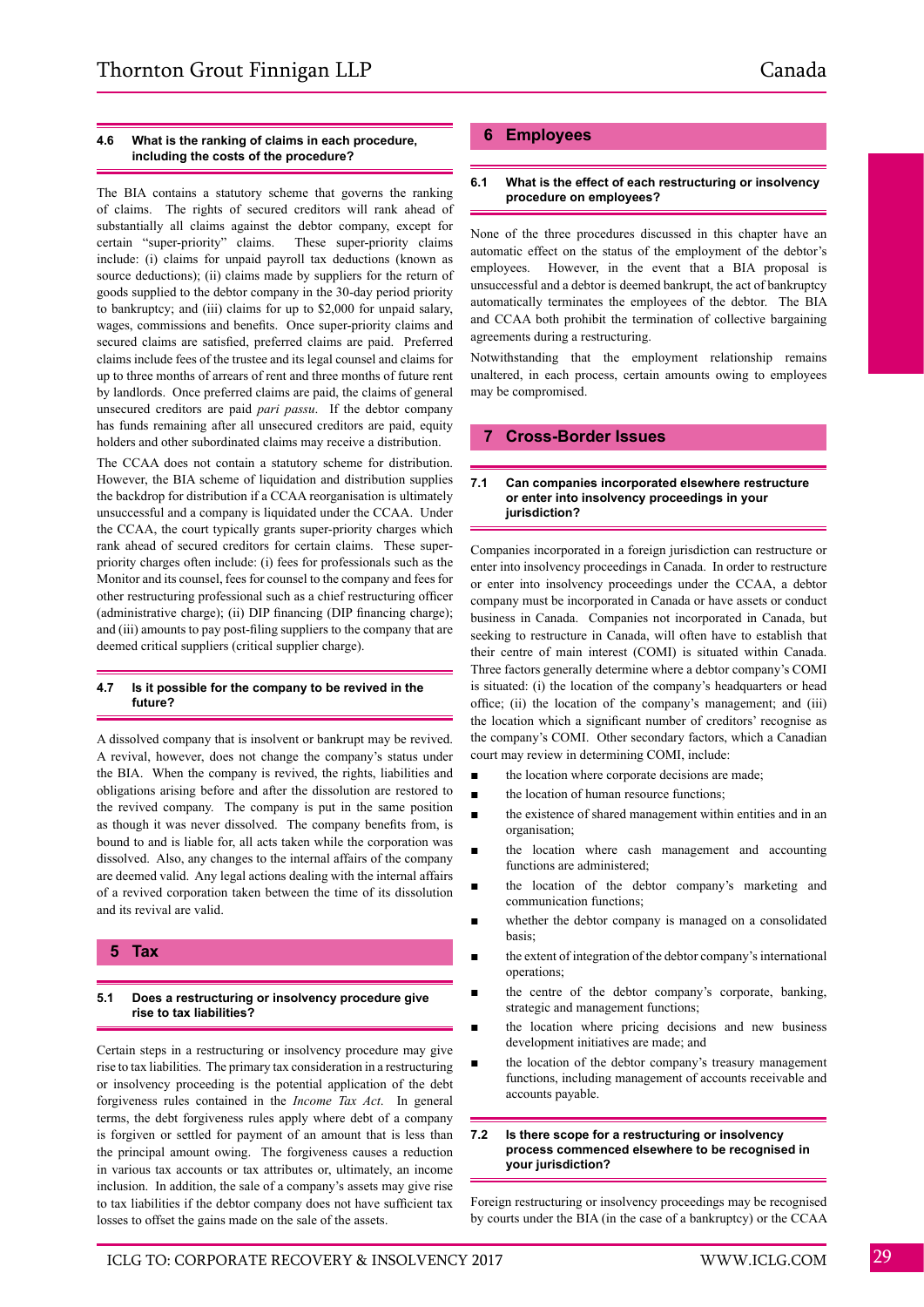## **4.6 What is the ranking of claims in each procedure, including the costs of the procedure?**

The BIA contains a statutory scheme that governs the ranking of claims. The rights of secured creditors will rank ahead of substantially all claims against the debtor company, except for certain "super-priority" claims. These super-priority claims include: (i) claims for unpaid payroll tax deductions (known as source deductions); (ii) claims made by suppliers for the return of goods supplied to the debtor company in the 30-day period priority to bankruptcy; and (iii) claims for up to \$2,000 for unpaid salary, wages, commissions and benefits. Once super-priority claims and secured claims are satisfied, preferred claims are paid. Preferred claims include fees of the trustee and its legal counsel and claims for up to three months of arrears of rent and three months of future rent by landlords. Once preferred claims are paid, the claims of general unsecured creditors are paid *pari passu*. If the debtor company has funds remaining after all unsecured creditors are paid, equity holders and other subordinated claims may receive a distribution.

The CCAA does not contain a statutory scheme for distribution. However, the BIA scheme of liquidation and distribution supplies the backdrop for distribution if a CCAA reorganisation is ultimately unsuccessful and a company is liquidated under the CCAA. Under the CCAA, the court typically grants super-priority charges which rank ahead of secured creditors for certain claims. These superpriority charges often include: (i) fees for professionals such as the Monitor and its counsel, fees for counsel to the company and fees for other restructuring professional such as a chief restructuring officer (administrative charge); (ii) DIP financing (DIP financing charge); and (iii) amounts to pay post-filing suppliers to the company that are deemed critical suppliers (critical supplier charge).

#### **4.7 Is it possible for the company to be revived in the future?**

A dissolved company that is insolvent or bankrupt may be revived. A revival, however, does not change the company's status under the BIA. When the company is revived, the rights, liabilities and obligations arising before and after the dissolution are restored to the revived company. The company is put in the same position as though it was never dissolved. The company benefits from, is bound to and is liable for, all acts taken while the corporation was dissolved. Also, any changes to the internal affairs of the company are deemed valid. Any legal actions dealing with the internal affairs of a revived corporation taken between the time of its dissolution and its revival are valid.

# **5 Tax**

# **5.1 Does a restructuring or insolvency procedure give rise to tax liabilities?**

Certain steps in a restructuring or insolvency procedure may give rise to tax liabilities. The primary tax consideration in a restructuring or insolvency proceeding is the potential application of the debt forgiveness rules contained in the *Income Tax Act*. In general terms, the debt forgiveness rules apply where debt of a company is forgiven or settled for payment of an amount that is less than the principal amount owing. The forgiveness causes a reduction in various tax accounts or tax attributes or, ultimately, an income inclusion. In addition, the sale of a company's assets may give rise to tax liabilities if the debtor company does not have sufficient tax losses to offset the gains made on the sale of the assets.

# **6 Employees**

#### **6.1 What is the effect of each restructuring or insolvency procedure on employees?**

None of the three procedures discussed in this chapter have an automatic effect on the status of the employment of the debtor's employees. However, in the event that a BIA proposal is unsuccessful and a debtor is deemed bankrupt, the act of bankruptcy automatically terminates the employees of the debtor. The BIA and CCAA both prohibit the termination of collective bargaining agreements during a restructuring.

Notwithstanding that the employment relationship remains unaltered, in each process, certain amounts owing to employees may be compromised.

# **7 Cross-Border Issues**

#### **7.1 Can companies incorporated elsewhere restructure or enter into insolvency proceedings in your jurisdiction?**

Companies incorporated in a foreign jurisdiction can restructure or enter into insolvency proceedings in Canada. In order to restructure or enter into insolvency proceedings under the CCAA, a debtor company must be incorporated in Canada or have assets or conduct business in Canada. Companies not incorporated in Canada, but seeking to restructure in Canada, will often have to establish that their centre of main interest (COMI) is situated within Canada. Three factors generally determine where a debtor company's COMI is situated: (i) the location of the company's headquarters or head office; (ii) the location of the company's management; and (iii) the location which a significant number of creditors' recognise as the company's COMI. Other secondary factors, which a Canadian court may review in determining COMI, include:

- the location where corporate decisions are made;
- the location of human resource functions;
- the existence of shared management within entities and in an organisation;
- the location where cash management and accounting functions are administered;
- the location of the debtor company's marketing and communication functions;
- whether the debtor company is managed on a consolidated basis;
- the extent of integration of the debtor company's international operations;
- the centre of the debtor company's corporate, banking, strategic and management functions;
- the location where pricing decisions and new business development initiatives are made; and
- the location of the debtor company's treasury management functions, including management of accounts receivable and accounts payable.

#### **7.2 Is there scope for a restructuring or insolvency process commenced elsewhere to be recognised in your jurisdiction?**

Foreign restructuring or insolvency proceedings may be recognised by courts under the BIA (in the case of a bankruptcy) or the CCAA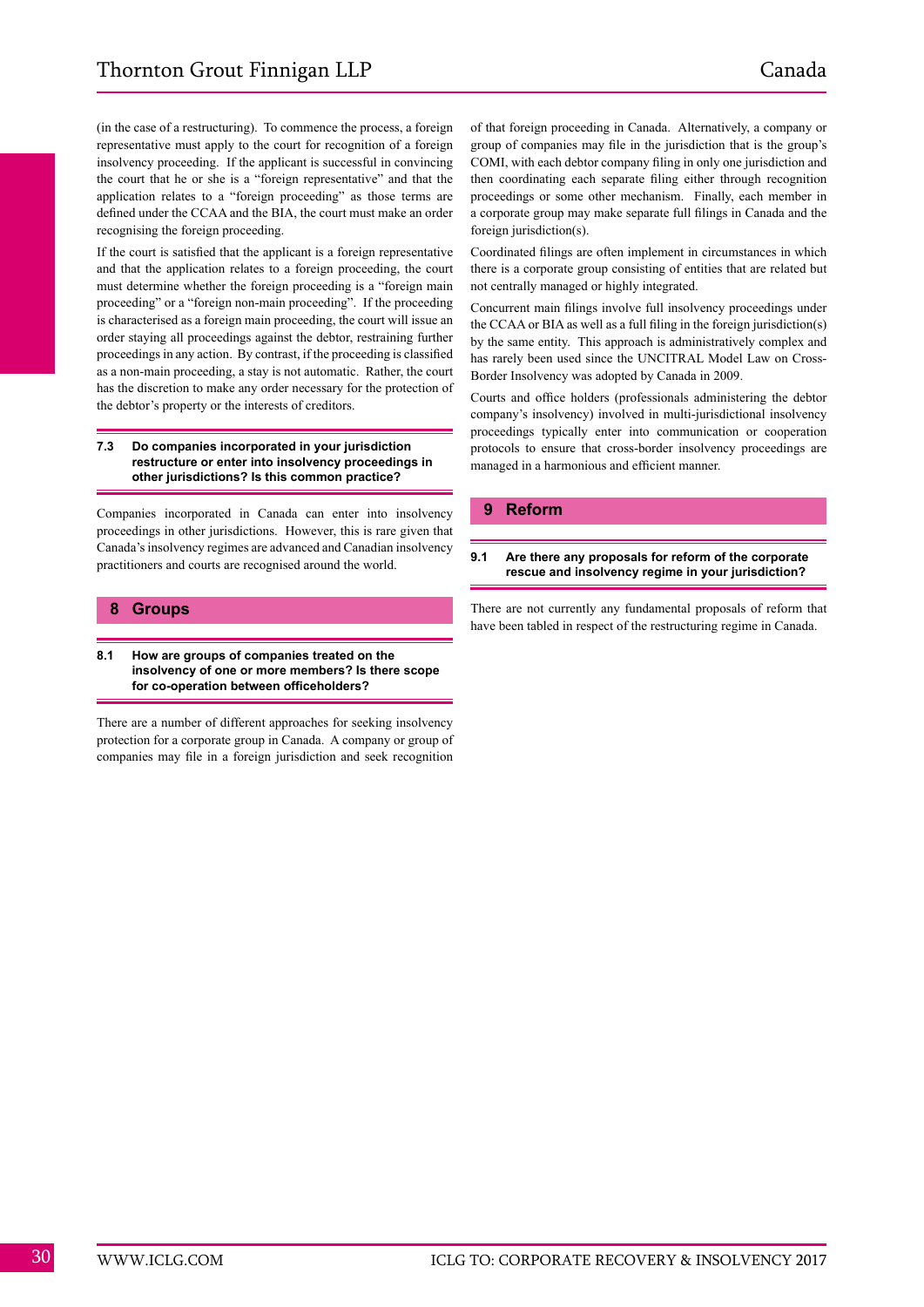(in the case of a restructuring). To commence the process, a foreign representative must apply to the court for recognition of a foreign insolvency proceeding. If the applicant is successful in convincing the court that he or she is a "foreign representative" and that the application relates to a "foreign proceeding" as those terms are defined under the CCAA and the BIA, the court must make an order recognising the foreign proceeding.

If the court is satisfied that the applicant is a foreign representative and that the application relates to a foreign proceeding, the court must determine whether the foreign proceeding is a "foreign main proceeding" or a "foreign non-main proceeding". If the proceeding is characterised as a foreign main proceeding, the court will issue an order staying all proceedings against the debtor, restraining further proceedings in any action. By contrast, if the proceeding is classified as a non-main proceeding, a stay is not automatic. Rather, the court has the discretion to make any order necessary for the protection of the debtor's property or the interests of creditors.

#### **7.3 Do companies incorporated in your jurisdiction restructure or enter into insolvency proceedings in other jurisdictions? Is this common practice?**

Companies incorporated in Canada can enter into insolvency proceedings in other jurisdictions. However, this is rare given that Canada's insolvency regimes are advanced and Canadian insolvency practitioners and courts are recognised around the world.

# **8 Groups**

## **8.1 How are groups of companies treated on the insolvency of one or more members? Is there scope for co-operation between officeholders?**

There are a number of different approaches for seeking insolvency protection for a corporate group in Canada. A company or group of companies may file in a foreign jurisdiction and seek recognition of that foreign proceeding in Canada. Alternatively, a company or group of companies may file in the jurisdiction that is the group's COMI, with each debtor company filing in only one jurisdiction and then coordinating each separate filing either through recognition proceedings or some other mechanism. Finally, each member in a corporate group may make separate full filings in Canada and the foreign jurisdiction(s).

Coordinated filings are often implement in circumstances in which there is a corporate group consisting of entities that are related but not centrally managed or highly integrated.

Concurrent main filings involve full insolvency proceedings under the CCAA or BIA as well as a full filing in the foreign jurisdiction(s) by the same entity. This approach is administratively complex and has rarely been used since the UNCITRAL Model Law on Cross-Border Insolvency was adopted by Canada in 2009.

Courts and office holders (professionals administering the debtor company's insolvency) involved in multi-jurisdictional insolvency proceedings typically enter into communication or cooperation protocols to ensure that cross-border insolvency proceedings are managed in a harmonious and efficient manner.

# **9 Reform**

# **9.1 Are there any proposals for reform of the corporate rescue and insolvency regime in your jurisdiction?**

There are not currently any fundamental proposals of reform that have been tabled in respect of the restructuring regime in Canada.